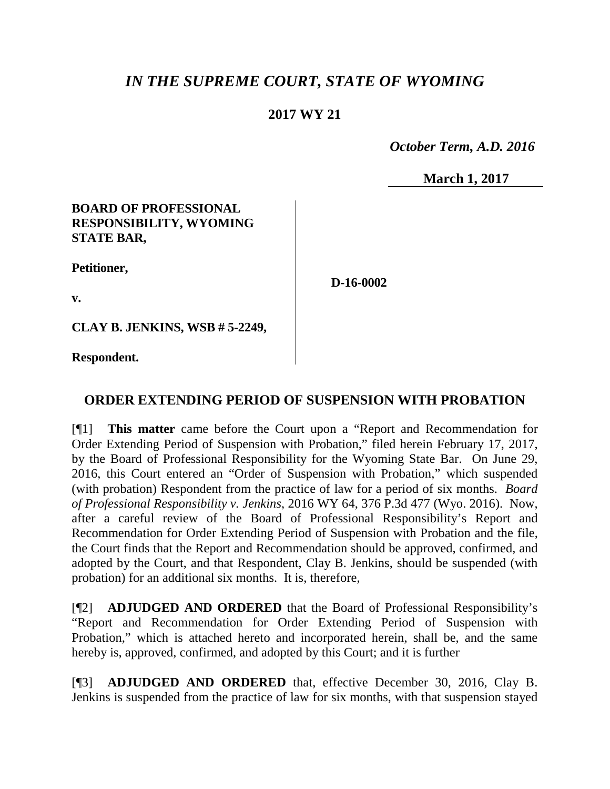# *IN THE SUPREME COURT, STATE OF WYOMING*

## **2017 WY 21**

 *October Term, A.D. 2016*

**March 1, 2017**

### **BOARD OF PROFESSIONAL RESPONSIBILITY, WYOMING STATE BAR,**

**Petitioner,**

**D-16-0002**

**v.**

**CLAY B. JENKINS, WSB # 5-2249,**

**Respondent.**

## **ORDER EXTENDING PERIOD OF SUSPENSION WITH PROBATION**

[¶1] **This matter** came before the Court upon a "Report and Recommendation for Order Extending Period of Suspension with Probation," filed herein February 17, 2017, by the Board of Professional Responsibility for the Wyoming State Bar. On June 29, 2016, this Court entered an "Order of Suspension with Probation," which suspended (with probation) Respondent from the practice of law for a period of six months. *Board of Professional Responsibility v. Jenkins*, 2016 WY 64, 376 P.3d 477 (Wyo. 2016). Now, after a careful review of the Board of Professional Responsibility's Report and Recommendation for Order Extending Period of Suspension with Probation and the file, the Court finds that the Report and Recommendation should be approved, confirmed, and adopted by the Court, and that Respondent, Clay B. Jenkins, should be suspended (with probation) for an additional six months. It is, therefore,

[¶2] **ADJUDGED AND ORDERED** that the Board of Professional Responsibility's "Report and Recommendation for Order Extending Period of Suspension with Probation," which is attached hereto and incorporated herein, shall be, and the same hereby is, approved, confirmed, and adopted by this Court; and it is further

[¶3] **ADJUDGED AND ORDERED** that, effective December 30, 2016, Clay B. Jenkins is suspended from the practice of law for six months, with that suspension stayed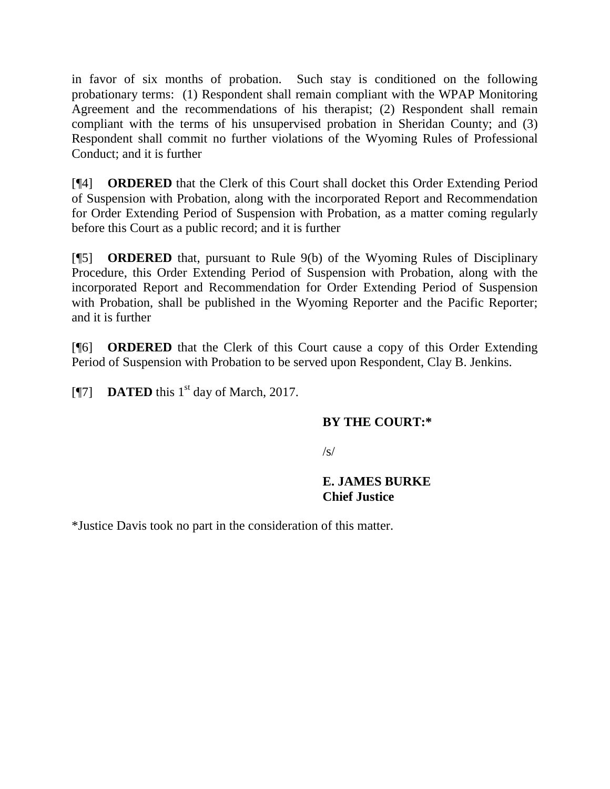in favor of six months of probation. Such stay is conditioned on the following probationary terms: (1) Respondent shall remain compliant with the WPAP Monitoring Agreement and the recommendations of his therapist; (2) Respondent shall remain compliant with the terms of his unsupervised probation in Sheridan County; and (3) Respondent shall commit no further violations of the Wyoming Rules of Professional Conduct; and it is further

[¶4] **ORDERED** that the Clerk of this Court shall docket this Order Extending Period of Suspension with Probation, along with the incorporated Report and Recommendation for Order Extending Period of Suspension with Probation, as a matter coming regularly before this Court as a public record; and it is further

[¶5] **ORDERED** that, pursuant to Rule 9(b) of the Wyoming Rules of Disciplinary Procedure, this Order Extending Period of Suspension with Probation, along with the incorporated Report and Recommendation for Order Extending Period of Suspension with Probation, shall be published in the Wyoming Reporter and the Pacific Reporter; and it is further

[¶6] **ORDERED** that the Clerk of this Court cause a copy of this Order Extending Period of Suspension with Probation to be served upon Respondent, Clay B. Jenkins.

[ $\textsf{N}$ 7] **DATED** this 1<sup>st</sup> day of March, 2017.

### **BY THE COURT:\***

 $\sqrt{s}$ 

#### **E. JAMES BURKE Chief Justice**

\*Justice Davis took no part in the consideration of this matter.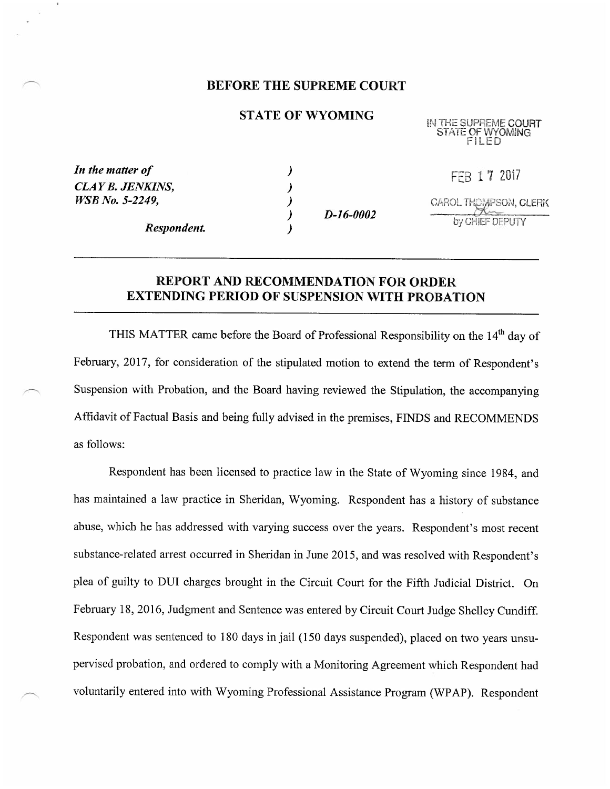#### BEFORE THE SUPREME COURT

#### STATE OF WYOMING

IN THE SUPREME COURT STATE OF WYOMING FILED

| In the matter of<br><b>CLAY B. JENKINS,</b><br><i>WSB No. 5-2249,</i> |  |  |  |
|-----------------------------------------------------------------------|--|--|--|
|                                                                       |  |  |  |

) D-16-0002

FEB 1 7 2017 CAROL THOMPSON, CLERK by CHEF DEPUTY

Respondent.

#### REPORT AND RECOMMENDATION FOR ORDER EXTENDING PERIOD OF SUSPENSION WITH PROBATION

THIS MATTER came before the Board of Professional Responsibility on the 14<sup>th</sup> day of February, 2017, for consideration of the stipulated motion to extend the term of Respondent's Suspension with Probation, and the Board having reviewed the Stipulation, the accompanying Affidavit of Factual Basis and being fully advised in the premises, FINDS and RECOMMENDS as follows:

Respondent has been licensed to practice law in the State of Wyoming since 1984, and has maintained a law practice in Sheridan, Wyoming. Respondent has a history of substance abuse, which he has addressed with varying success over the years. Respondent's most recent substance-related arrest occurred in Sheridan in June 2015, and was resolved with Respondent's plea of guilty to DUI charges brought in the Circuit Court for the Fifth Judicial District. On February 18, 2016, Judgment and Sentence was entered by Circuit Court Judge Shelley Cundiff. Respondent was sentenced to 180 days in jail (150 days suspended), placed on two years unsupervised probation, and ordered to comply with a Monitoring Agreement which Respondent had voluntarily entered into with Wyoming Professional Assistance Program (WPAP). Respondent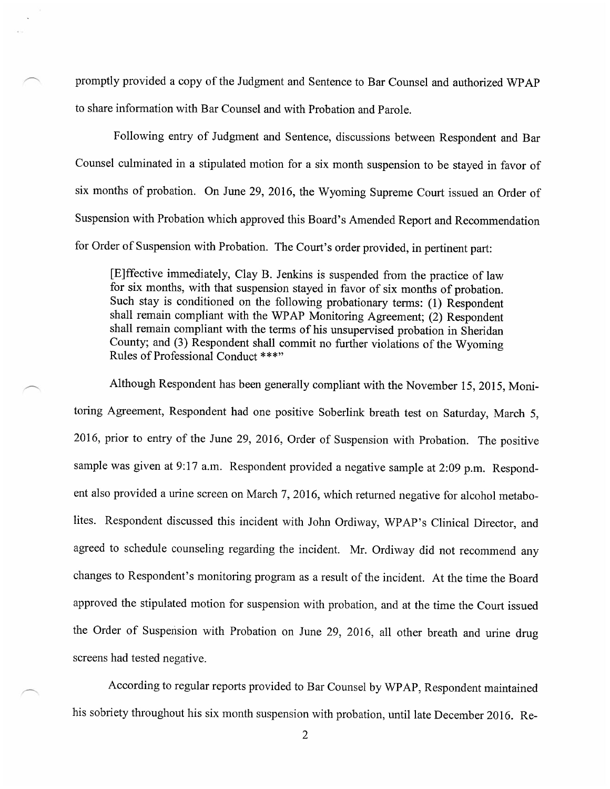promptly provided <sup>a</sup>copy of the Judgment and Sentence to Bar Counsel and authorized WPAP to share information with Bar Counsel and with Probation and Parole.

Following entry of Judgment and Sentence, discussions between Respondent and Bar Counsel culminated in a stipulated motion for a six month suspension to be stayed in favor of six months of probation. On June 29, 2016, the Wyoming Supreme Court issued an Order of Suspension with Probation which approved this Board's Amended Report and Recommendation for Order of Suspension with Probation. The Court's order provided, in pertinent part:

[E]ffective immediately, Clay B. Jenkins is suspended from the practice of law for six months, with that suspension stayed in favor of six months of probation. Such stay is conditioned on the following probationary terms: (1) Respondent shall remain compliant with the WPAP Monitoring Agreement; (2) Respondent shall remain compliant with the terms of his unsupervised probation in Sheridan County; and (3) Respondent shall commit no further violations of the Wyoming Rules of Professional Conduct \*\*\*"

Although Respondent has been generally compliant with the November 15, 2015, Monitoring Agreement, Respondent had one positive Soberlink breath test on Saturday, March 5, 2016, prior to entry of the June 29, 2016, Order of Suspension with Probation. The positive sample was given at 9:17 a.m. Respondent provided a negative sample at 2:09 p.m. Respondent also provided a urine screen on March 7, 2016, which returned negative for alcohol metabolites. Respondent discussed this incident with John Ordiway, WPAP's Clinical Director, and agreed to schedule counseling regarding the incident. Mr. Ordiway did not recommend any changes to Respondent's monitoring program as a result of the incident. At the time the Board approved the stipulated motion for suspension with probation, and at the time the Court issued the Order of Suspension with Probation on June 29, 2016, all other breath and urine drug screens had tested negative.

According to regular reports provided to Bar Counsel by WPAP, Respondent maintained his sobriety throughout his six month suspension with probation, until late December 2016. Re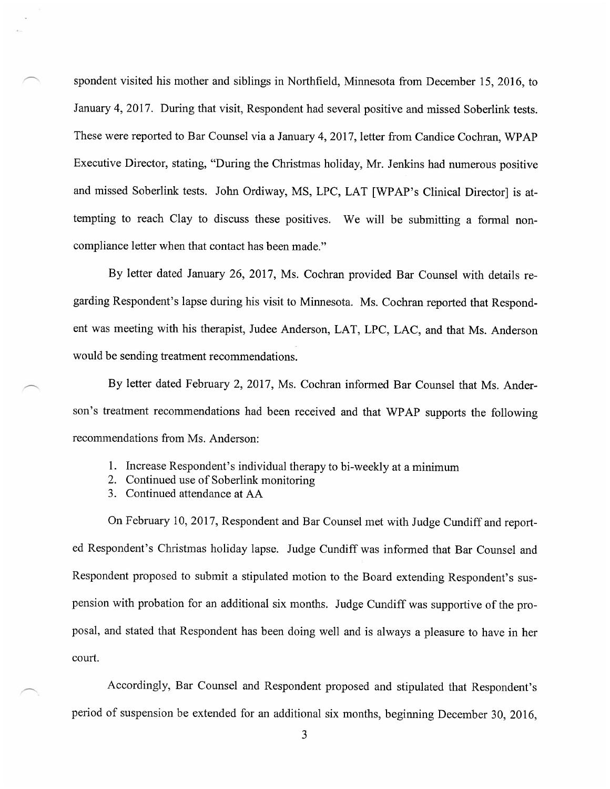spondent visited his mother and siblings in Northfield, Minnesota from December 15, 2016, to January 4, 2017. During that visit, Respondent had several positive and missed Soberlink tests. These were reported to Bar Counsel via a January 4, 2017, letter from Candice Cochran, WPAP Executive Director, stating, "During the Christmas holiday, Mr. Jenkins had numerous positive and missed Soberlink tests. John Ordiway, MS, LPC, LAT [WPAP's Clinical Director] is attempting to reach Clay to discuss these positives. We will be submitting a formal noncompliance letter when that contact has been made."

By letter dated January 26, 2017, Ms. Cochran provided Bar Counsel with details regarding Respondent's lapse during his visit to Minnesota. Ms. Cochran reported that Respondent was meeting with his therapist, Judee Anderson, LAT, LPC, LAC, and that Ms. Anderson would be sending treatment recommendations.

By letter dated February 2, 2017, Ms. Cochran informed Bar Counsel that Ms. Anderson's treatment recommendations had been received and that WPAP supports the following recommendations from Ms. Anderson:

- 1. Increase Respondent's individual therapy to bi-weekly at a minimum
- 2. Continued use of Soberlink monitoring
- 3. Continued attendance at AA

On February 10, 2017, Respondent and Bar Counsel met with Judge Cundiff and reported Respondent's Christmas holiday lapse. Judge Cundiff was inforrned that Bar Counsel and Respondent proposed to submit a stipulated motion to the Board extending Respondent's suspension with probation for an additional six months. Judge Cundiff was supportive of the proposal, and stated that Respondent has been doing well and is always a pleasure to have in her court.

Accordingly, Bar Counsel and Respondent proposed and stipulated that Respondent's period of suspension be extended for an additional six months, beginning December 30, 2016,

3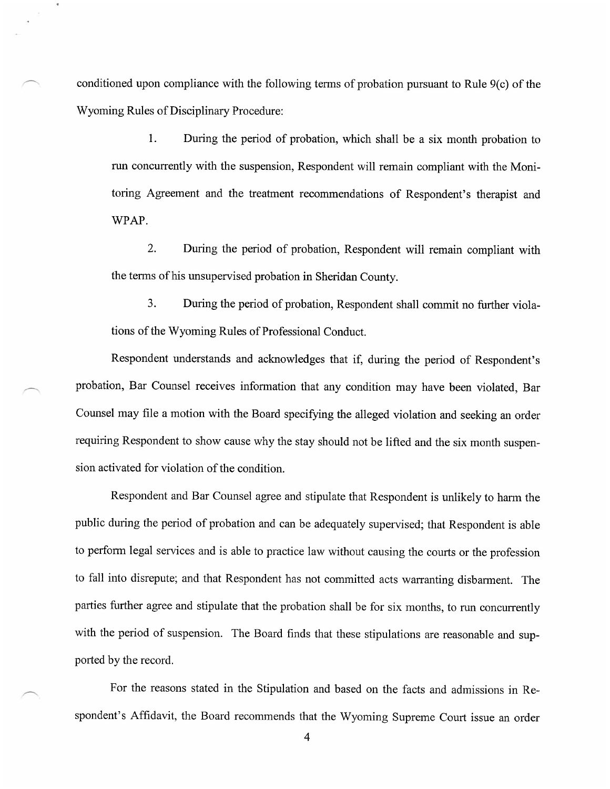conditioned upon compliance with the following terms of probation pursuant to Rule 9(c) of the Wyoming Rules of Disciplinary Procedure:

1. During the period of probation, which shall be a six month probation to run concurrently with the suspension, Respondent will remain compliant with the Monitoring Agreement and the treatment recommendations of Respondent's therapist and WPAP.

2. During the period of probation, Respondent will remain compliant with the terms of his unsupervised probation in Sheridan County.

3. During the period of probation, Respondent shall commit no further violations of the Wyoming Rules of Professional Conduct.

Respondent understands and acknowledges that if, during the period of Respondent's probation, Bar Counsel receives information that any condition may have been violated, Bar Counsel may file a motion with the Board specifying the alleged violation and seeking an order requiring Respondent to show cause why the stay should not be lifted and the six month suspension activated for violation of the condition.

Respondent and Bar Counsel agree and stipulate that Respondent is unlikely to harm the public during the period of probation and can be adequately supervised; that Respondent is able to perform legal services and is able to practice law without causing the courts or the profession to fall into disrepute; and that Respondent has not committed acts warranting disbarment. The parties further agree and stipulate that the probation shall be for six months, to run concurrently with the period of suspension. The Board finds that these stipulations are reasonable and supported by the record.

For the reasons stated in the Stipulation and based on the facts and admissions in Respondent's Affidavit, the Board recommends that the Wyorning Supreme Court issue an order